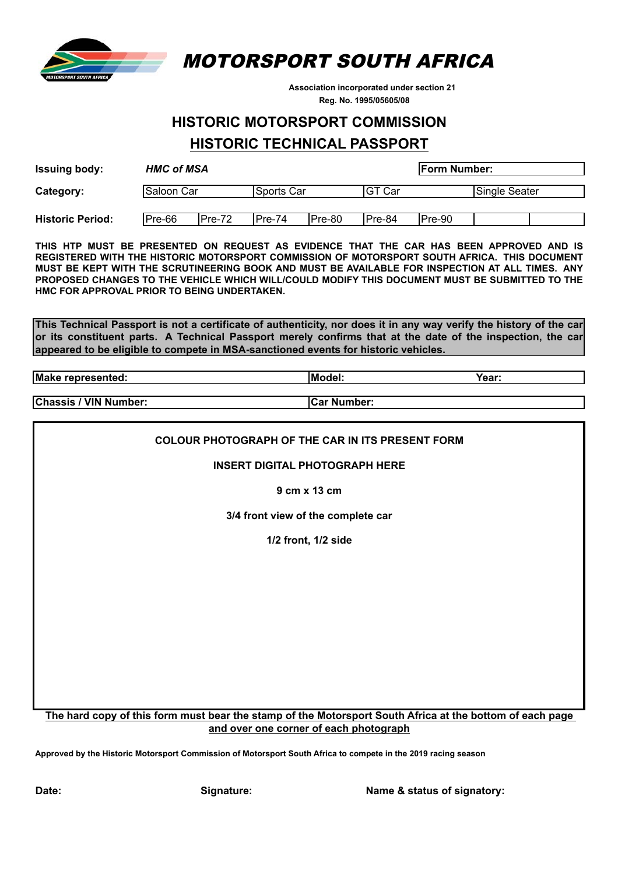

MOTORSPORT SOUTH AFRICA

 **Association incorporated under section 21 Reg. No. 1995/05605/08**

# **HISTORIC MOTORSPORT COMMISSION**

# **HISTORIC TECHNICAL PASSPORT**

| <b>Issuing body:</b>    | <b>HMC of MSA</b><br><b>Form Number:</b> |          |             |        |                     |        |               |  |
|-------------------------|------------------------------------------|----------|-------------|--------|---------------------|--------|---------------|--|
| Saloon Car<br>Category: |                                          |          | lSports Car |        | <sub>I</sub> GT Car |        | Single Seater |  |
| <b>Historic Period:</b> | Pre-66                                   | $Pre-72$ | IPre-74     | Pre-80 | Pre-84              | Pre-90 |               |  |

**THIS HTP MUST BE PRESENTED ON REQUEST AS EVIDENCE THAT THE CAR HAS BEEN APPROVED AND IS REGISTERED WITH THE HISTORIC MOTORSPORT COMMISSION OF MOTORSPORT SOUTH AFRICA. THIS DOCUMENT MUST BE KEPT WITH THE SCRUTINEERING BOOK AND MUST BE AVAILABLE FOR INSPECTION AT ALL TIMES. ANY PROPOSED CHANGES TO THE VEHICLE WHICH WILL/COULD MODIFY THIS DOCUMENT MUST BE SUBMITTED TO THE HMC FOR APPROVAL PRIOR TO BEING UNDERTAKEN.**

**This Technical Passport is not a certificate of authenticity, nor does it in any way verify the history of the car or its constituent parts. A Technical Passport merely confirms that at the date of the inspection, the car appeared to be eligible to compete in MSA-sanctioned events for historic vehicles.**

**Make represented: Model: Year:**

**Chassis / VIN Number: Car Number:**

**COLOUR PHOTOGRAPH OF THE CAR IN ITS PRESENT FORM**

**INSERT DIGITAL PHOTOGRAPH HERE**

**9 cm x 13 cm**

**3/4 front view of the complete car**

**1/2 front, 1/2 side**

#### **The hard copy of this form must bear the stamp of the Motorsport South Africa at the bottom of each page and over one corner of each photograph**

**Approved by the Historic Motorsport Commission of Motorsport South Africa to compete in the 2019 racing season**

**Date: Signature: Name & status of signatory:**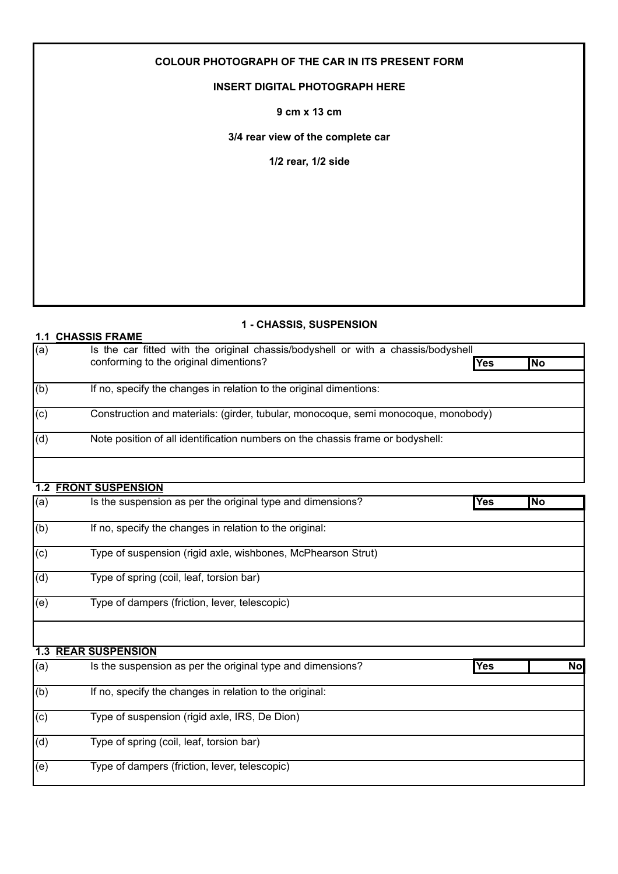## **COLOUR PHOTOGRAPH OF THE CAR IN ITS PRESENT FORM**

### **INSERT DIGITAL PHOTOGRAPH HERE**

**9 cm x 13 cm**

**3/4 rear view of the complete car**

**1/2 rear, 1/2 side**

## **1 - CHASSIS, SUSPENSION**

| 1.1 | <b>CHASSIS FRAME</b>                                                               |     |           |
|-----|------------------------------------------------------------------------------------|-----|-----------|
| (a) | Is the car fitted with the original chassis/bodyshell or with a chassis/bodyshell  |     |           |
|     | conforming to the original dimentions?                                             | Yes | <b>No</b> |
| (b) | If no, specify the changes in relation to the original dimentions:                 |     |           |
| (c) | Construction and materials: (girder, tubular, monocoque, semi monocoque, monobody) |     |           |
| (d) | Note position of all identification numbers on the chassis frame or bodyshell:     |     |           |
|     |                                                                                    |     |           |
|     | <b>1.2 FRONT SUSPENSION</b>                                                        |     |           |
| (a) | Is the suspension as per the original type and dimensions?                         | Yes | <b>No</b> |
| (b) | If no, specify the changes in relation to the original:                            |     |           |
| (c) | Type of suspension (rigid axle, wishbones, McPhearson Strut)                       |     |           |
| (d) | Type of spring (coil, leaf, torsion bar)                                           |     |           |
| (e) | Type of dampers (friction, lever, telescopic)                                      |     |           |
|     |                                                                                    |     |           |
|     | <b>1.3 REAR SUSPENSION</b>                                                         |     |           |
| (a) | Is the suspension as per the original type and dimensions?                         | Yes | <b>No</b> |
| (b) | If no, specify the changes in relation to the original:                            |     |           |

(c) Type of suspension (rigid axle, IRS, De Dion) (d) Type of spring (coil, leaf, torsion bar) (e) Type of dampers (friction, lever, telescopic)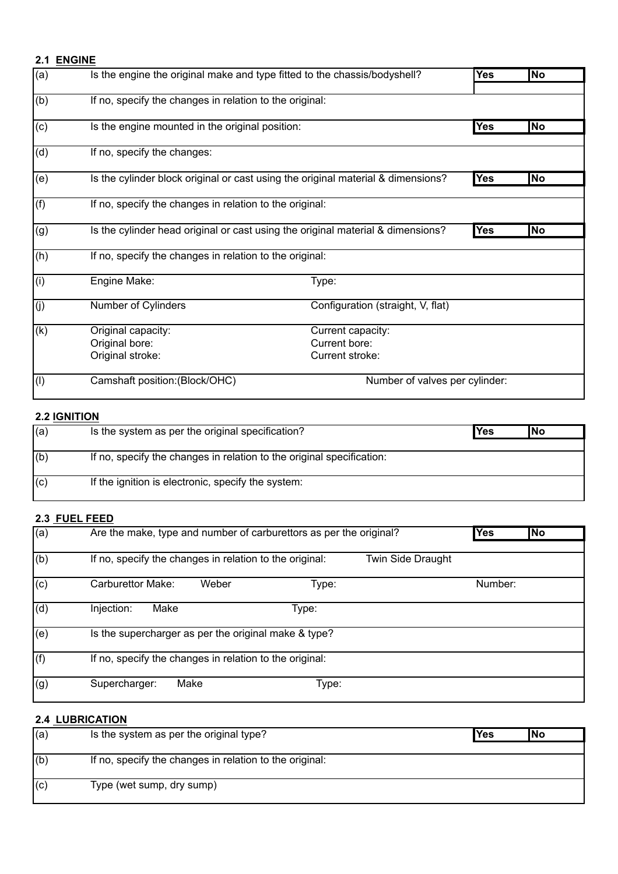### **2.1 ENGINE**

| (a) | Is the engine the original make and type fitted to the chassis/bodyshell?        |                                                       | <b>Yes</b> | No                       |
|-----|----------------------------------------------------------------------------------|-------------------------------------------------------|------------|--------------------------|
|     |                                                                                  |                                                       |            |                          |
| (b) | If no, specify the changes in relation to the original:                          |                                                       |            |                          |
| (c) | Is the engine mounted in the original position:                                  |                                                       | Yes        | <b>No</b>                |
| (d) | If no, specify the changes:                                                      |                                                       |            |                          |
| (e) | Is the cylinder block original or cast using the original material & dimensions? |                                                       | Yes        | $\overline{\textsf{No}}$ |
| (f) | If no, specify the changes in relation to the original:                          |                                                       |            |                          |
| (g) | Is the cylinder head original or cast using the original material & dimensions?  |                                                       | Yes        | $\overline{\textsf{No}}$ |
| (h) | If no, specify the changes in relation to the original:                          |                                                       |            |                          |
| (i) | Engine Make:                                                                     | Type:                                                 |            |                          |
| (i) | Number of Cylinders                                                              | Configuration (straight, V, flat)                     |            |                          |
| (k) | Original capacity:<br>Original bore:<br>Original stroke:                         | Current capacity:<br>Current bore:<br>Current stroke: |            |                          |
| (1) | Camshaft position: (Block/OHC)                                                   | Number of valves per cylinder:                        |            |                          |

# **2.2 IGNITION**

| (a) | Is the system as per the original specification?                      | <b>Yes</b> | lNo |
|-----|-----------------------------------------------------------------------|------------|-----|
|     |                                                                       |            |     |
| (6) | If no, specify the changes in relation to the original specification: |            |     |
|     |                                                                       |            |     |
| (c) | If the ignition is electronic, specify the system:                    |            |     |
|     |                                                                       |            |     |

## **2.3 FUEL FEED**

| $\overline{a)}$ | Are the make, type and number of carburettors as per the original?                  |         | <b>No</b> |
|-----------------|-------------------------------------------------------------------------------------|---------|-----------|
| (b)             | If no, specify the changes in relation to the original:<br><b>Twin Side Draught</b> |         |           |
| (c)             | Carburettor Make:<br>Weber<br>Type:                                                 | Number: |           |
| (d)             | Injection:<br>Make<br>Type:                                                         |         |           |
| (e)             | Is the supercharger as per the original make & type?                                |         |           |
| (f)             | If no, specify the changes in relation to the original:                             |         |           |
| (g)             | Make<br>Supercharger:<br>Type:                                                      |         |           |

## **2.4 LUBRICATION**

| (a) | Is the system as per the original type?                 | <b>Yes</b> | <b>INo</b> |
|-----|---------------------------------------------------------|------------|------------|
|     |                                                         |            |            |
| (b) | If no, specify the changes in relation to the original: |            |            |
|     |                                                         |            |            |
| (c) | Type (wet sump, dry sump)                               |            |            |
|     |                                                         |            |            |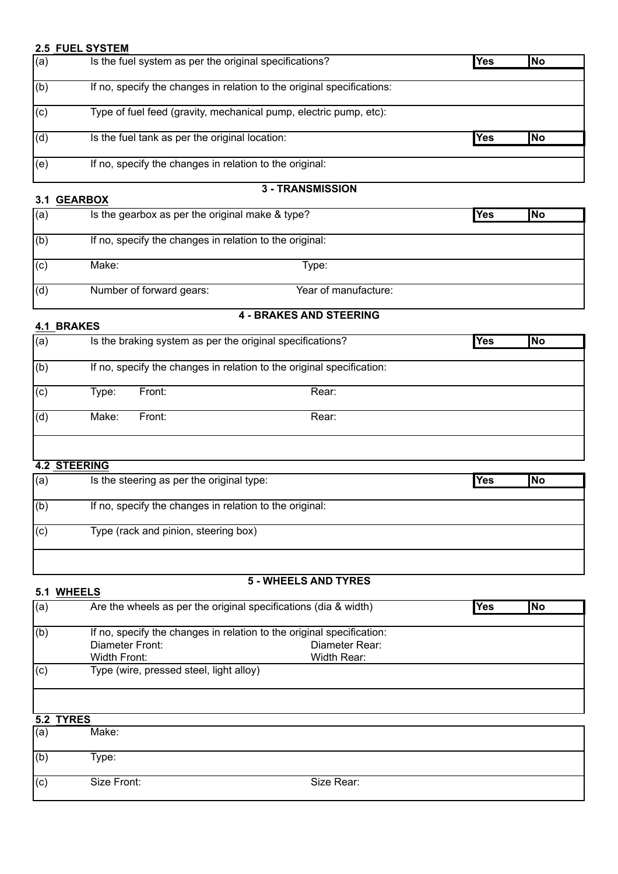#### **2.5 FUEL SYSTEM**

| (a) | Is the fuel system as per the original specifications?                 | Yes | <b>No</b>  |
|-----|------------------------------------------------------------------------|-----|------------|
|     |                                                                        |     |            |
| (b) | If no, specify the changes in relation to the original specifications: |     |            |
| (c) | Type of fuel feed (gravity, mechanical pump, electric pump, etc):      |     |            |
| (d) | Is the fuel tank as per the original location:                         | Yes | <b>INo</b> |
| (e) | If no, specify the changes in relation to the original:                |     |            |
|     | 2 TDANCMICCION                                                         |     |            |

## **3.1 GEARBOX**

#### **3 - TRANSMISSION**

| (a) | Is the gearbox as per the original make & type?         |                      | <b>Yes</b> | <b>INo</b> |
|-----|---------------------------------------------------------|----------------------|------------|------------|
|     |                                                         |                      |            |            |
| (b) | If no, specify the changes in relation to the original: |                      |            |            |
| (c) | Make:                                                   | Type:                |            |            |
| (d) | Number of forward gears:                                | Year of manufacture: |            |            |

### **4.1 BRAKES**

# **4 - BRAKES AND STEERING**

| .                |                     |                                                           |                                                                       |     |           |
|------------------|---------------------|-----------------------------------------------------------|-----------------------------------------------------------------------|-----|-----------|
| $\overline{a}$   |                     | Is the braking system as per the original specifications? |                                                                       | Yes | <b>No</b> |
| (b)              |                     |                                                           | If no, specify the changes in relation to the original specification: |     |           |
| $\overline{(c)}$ | Type:               | Front:                                                    | Rear:                                                                 |     |           |
| (d)              | Make:               | Front:                                                    | Rear:                                                                 |     |           |
|                  |                     |                                                           |                                                                       |     |           |
|                  | <b>4.2 STEERING</b> |                                                           |                                                                       |     |           |

| (a) | Is the steering as per the original type:               | Yes<br> No |
|-----|---------------------------------------------------------|------------|
| (b) | If no, specify the changes in relation to the original: |            |
| (c) | Type (rack and pinion, steering box)                    |            |
|     |                                                         |            |

## **5 - WHEELS AND TYRES**

| 5.1 | <b>WHEELS</b>                                                                                                                             |                         |  |
|-----|-------------------------------------------------------------------------------------------------------------------------------------------|-------------------------|--|
| (a) | Are the wheels as per the original specifications (dia & width)                                                                           | <b>Yes</b><br><b>No</b> |  |
| (b) | If no, specify the changes in relation to the original specification:<br>Diameter Front:<br>Diameter Rear:<br>Width Front:<br>Width Rear: |                         |  |
| (c) | Type (wire, pressed steel, light alloy)                                                                                                   |                         |  |
|     |                                                                                                                                           |                         |  |
|     | 5.2 TYRES                                                                                                                                 |                         |  |
| (a) | Make:                                                                                                                                     |                         |  |
| (b) | Type:                                                                                                                                     |                         |  |
| (c) | Size Front:<br>Size Rear:                                                                                                                 |                         |  |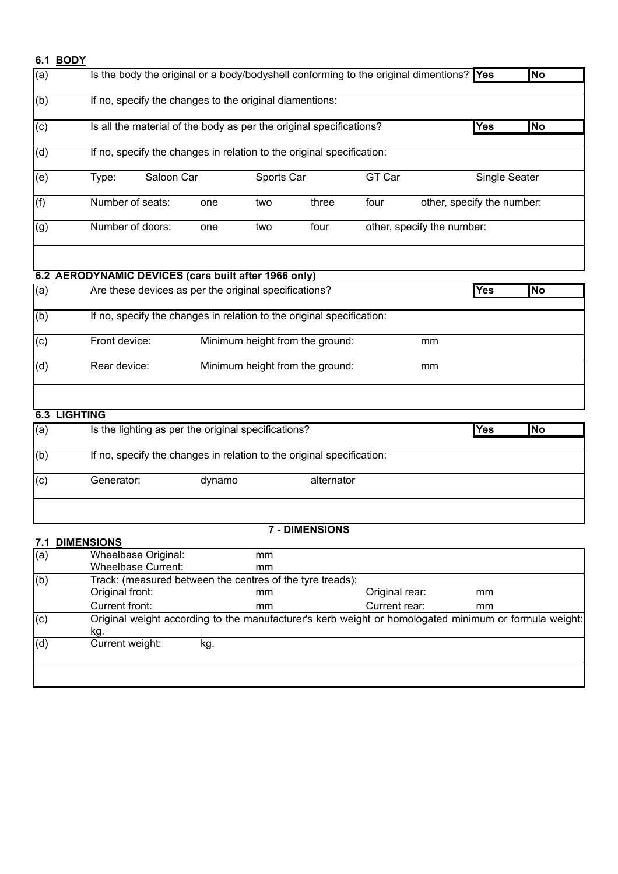### **6.1 BODY**

| (b)                                                                  | If no, specify the changes to the original diamentions:<br>Is all the material of the body as per the original specifications?<br>If no, specify the changes in relation to the original specification:<br>Type:<br>Number of seats: |        |                                    |                                 |               |                            | <b>Yes</b> | No        |
|----------------------------------------------------------------------|--------------------------------------------------------------------------------------------------------------------------------------------------------------------------------------------------------------------------------------|--------|------------------------------------|---------------------------------|---------------|----------------------------|------------|-----------|
| $\overline{c}$<br>(d)<br>$\overline{(e)}$<br>(f)<br>$\overline{(g)}$ |                                                                                                                                                                                                                                      |        |                                    |                                 |               |                            |            |           |
|                                                                      |                                                                                                                                                                                                                                      |        |                                    |                                 |               |                            |            |           |
|                                                                      |                                                                                                                                                                                                                                      |        |                                    |                                 |               |                            |            |           |
|                                                                      |                                                                                                                                                                                                                                      |        | GT Car<br>Saloon Car<br>Sports Car |                                 | Single Seater |                            |            |           |
|                                                                      |                                                                                                                                                                                                                                      | one    | two                                | three                           | four          | other, specify the number: |            |           |
|                                                                      | Number of doors:                                                                                                                                                                                                                     | one    | two                                | four                            |               | other, specify the number: |            |           |
|                                                                      | 6.2 AERODYNAMIC DEVICES (cars built after 1966 only)                                                                                                                                                                                 |        |                                    |                                 |               |                            |            |           |
| (a)                                                                  | Are these devices as per the original specifications?                                                                                                                                                                                |        |                                    |                                 |               |                            | Yes        | No        |
| (b)                                                                  | If no, specify the changes in relation to the original specification:                                                                                                                                                                |        |                                    |                                 |               |                            |            |           |
| (c)                                                                  | Front device:                                                                                                                                                                                                                        |        |                                    | Minimum height from the ground: |               | mm                         |            |           |
| (d)                                                                  | Rear device:                                                                                                                                                                                                                         |        |                                    | Minimum height from the ground: |               | mm                         |            |           |
| <b>LIGHTING</b><br>6.3                                               |                                                                                                                                                                                                                                      |        |                                    |                                 |               |                            |            |           |
| (a)                                                                  | Is the lighting as per the original specifications?                                                                                                                                                                                  |        |                                    |                                 |               |                            | Yes        | <b>No</b> |
| (b)                                                                  | If no, specify the changes in relation to the original specification:                                                                                                                                                                |        |                                    |                                 |               |                            |            |           |
| (c)                                                                  | Generator:                                                                                                                                                                                                                           | dynamo |                                    | alternator                      |               |                            |            |           |

## **7.1 DIMENSIONS**

#### **7 - DIMENSIONS**

|     | <b>טוועונע ובוווע</b>     |                                                           |                                                                                                       |               |
|-----|---------------------------|-----------------------------------------------------------|-------------------------------------------------------------------------------------------------------|---------------|
| (a) | Wheelbase Original:       | mm                                                        |                                                                                                       |               |
|     | <b>Wheelbase Current:</b> | mm                                                        |                                                                                                       |               |
| (b) |                           | Track: (measured between the centres of the tyre treads): |                                                                                                       |               |
|     | Original front:           | mm                                                        | Original rear:                                                                                        | mm            |
|     | Current front:            | mm                                                        | Current rear:                                                                                         | <sub>mm</sub> |
| (c) | kg.                       |                                                           | Original weight according to the manufacturer's kerb weight or homologated minimum or formula weight: |               |
| (d) | Current weight:           | kg.                                                       |                                                                                                       |               |
|     |                           |                                                           |                                                                                                       |               |
|     |                           |                                                           |                                                                                                       |               |